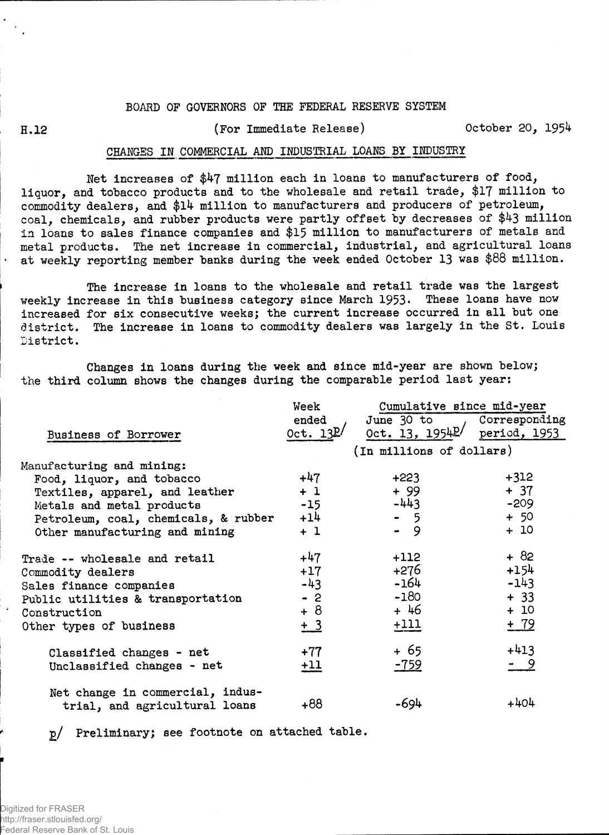## **BOARD OF GOVERNORS OF THE FEDERAL RESERVE SYSTEM**

## **H.12 (For Immediate Release) October 20, 1954**

## **CHARGES IN COMMERCIAL AND INDUSTRIAL LOANS BY INDUSTRY**

**Net increases of \$47 million each in loans to manufacturers of food, liquor, and tobacco products and to the wholesale and retail trade, \$17 million to commodity dealers, and \$14 million to manufacturers and producers of petroleum, coal, chemicals, and rubber products were partly offset by decreases of \$43 million in loans to sales finance companies and \$15 million to manufacturers of metals and metal products. The net increase in commercial, industrial, and agricultural loans at weekly reporting member banks during the week ended October 13 was \$88 million.**

**The increase in loans to the wholesale and retail trade was the largest weekly increase in this business category since March 1953\* These loans have now increased for six consecutive weeks; the current increase occurred in all but one district. The increase in loans to commodity dealers was largely in the St. Louis District.** 

**Changes in loans during the week and since mid-year are shown below; the third column shows the changes during the comparable period last year:**

|                                      | Week        | Cumulative since mid-year                                           |            |  |  |  |  |
|--------------------------------------|-------------|---------------------------------------------------------------------|------------|--|--|--|--|
|                                      | ended       | June 30 to Corresponding<br>Oct. 13, 1954 <sup>p</sup> period, 1953 |            |  |  |  |  |
| Business of Borrower                 | Oct. $13P/$ |                                                                     |            |  |  |  |  |
|                                      |             | (In millions of dollars)                                            |            |  |  |  |  |
| Manufacturing and mining:            |             |                                                                     |            |  |  |  |  |
| Food, liquor, and tobacco            | $+47$       | $+223$                                                              | $+312$     |  |  |  |  |
| Textiles, apparel, and leather       | $+1$        | + 99                                                                | $+ 37$     |  |  |  |  |
| Metals and metal products            | $-15$       | $-443$                                                              | $-209$     |  |  |  |  |
| Petroleum, coal, chemicals, & rubber | $+14$       | $-5$                                                                | $+ 50$     |  |  |  |  |
| Other manufacturing and mining       | $+1$        | $-9$                                                                | $+10$      |  |  |  |  |
| Trade -- wholesale and retail        | $+47$       | +112                                                                | $+82$      |  |  |  |  |
| Commodity dealers                    | $+17$       | +276                                                                | $+154$     |  |  |  |  |
| Sales finance companies              | $-43$       | -164                                                                | $-143$     |  |  |  |  |
| Public utilities & transportation    | $-2$        | $-180$                                                              | $+ 33$     |  |  |  |  |
| Construction                         | $+8$        | + 46                                                                | $+10$      |  |  |  |  |
| Other types of business              | $\pm 3$     | $+111$                                                              | $+ 79$     |  |  |  |  |
| Classified changes - net             | $+77$       | + 65                                                                | $+413$     |  |  |  |  |
| Unclassified changes - net           | $+11$       | -759                                                                | <u>- 9</u> |  |  |  |  |
| Net change in commercial, indus-     |             |                                                                     |            |  |  |  |  |
| trial, and agricultural loans        | $+88$       | -694                                                                | $+404$     |  |  |  |  |

**p/ Preliminary; see footnote on attached table.**